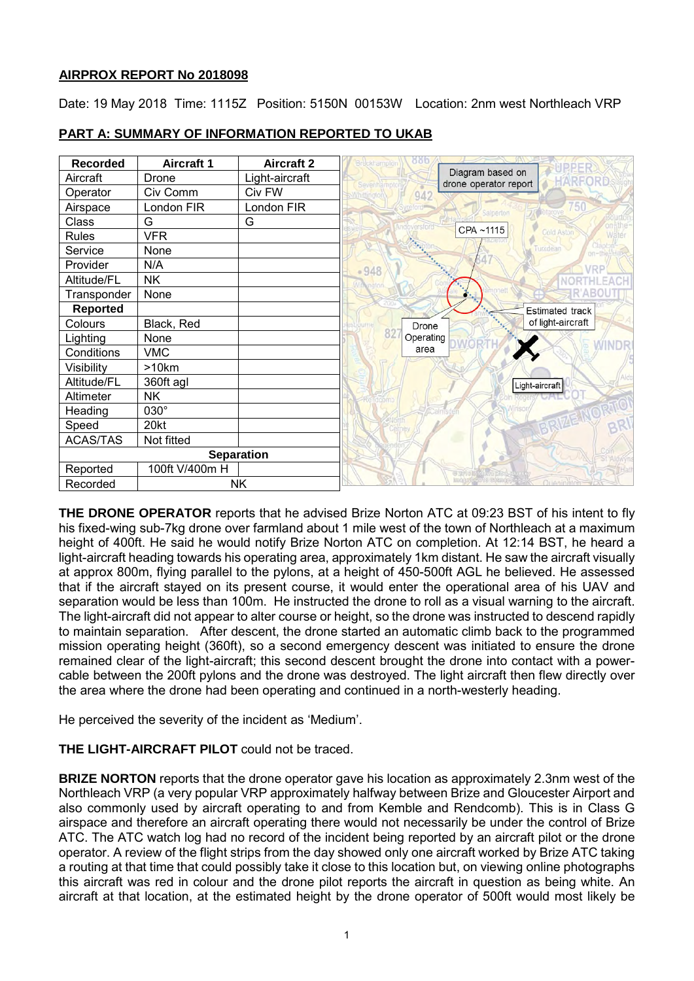# **AIRPROX REPORT No 2018098**

Date: 19 May 2018 Time: 1115Z Position: 5150N 00153W Location: 2nm west Northleach VRP

| <b>Recorded</b>       | <b>Aircraft 1</b> | <b>Aircraft 2</b> | <b>Bruckhampton</b>                                  |
|-----------------------|-------------------|-------------------|------------------------------------------------------|
| Aircraft              | Drone             | Light-aircraft    | Diagram based on<br>drone operator report<br>Sevenha |
| Operator              | Civ Comm          | Civ FW            | 942                                                  |
| Airspace              | London FIR        | London FIR        | alpertor                                             |
| <b>Class</b>          | G                 | G                 |                                                      |
| <b>Rules</b>          | <b>VFR</b>        |                   | CPA~1115<br>Cold Aston                               |
| Service               | None              |                   | Turkdean                                             |
| Provider              | N/A               |                   | $-948$                                               |
| Altitude/FL           | <b>NK</b>         |                   |                                                      |
| Transponder           | None              |                   |                                                      |
| <b>Reported</b>       |                   |                   | <b>Estimated track</b>                               |
| Colours               | Black, Red        |                   | of light-aircraft<br>Drone                           |
| Lighting              | None              |                   | 8<br>Operating                                       |
| Conditions            | <b>VMC</b>        |                   | area                                                 |
| Visibility            | >10km             |                   |                                                      |
| Altitude/FL           | 360ft agl         |                   | Light-aircraft                                       |
| Altimeter             | <b>NK</b>         |                   |                                                      |
| Heading               | 030°              |                   |                                                      |
| Speed                 | 20kt              |                   |                                                      |
| <b>ACAS/TAS</b>       | Not fitted        |                   |                                                      |
| <b>Separation</b>     |                   |                   |                                                      |
| Reported              | 100ft V/400m H    |                   |                                                      |
| <b>NK</b><br>Recorded |                   |                   | 而命<br>Queninato                                      |

# **PART A: SUMMARY OF INFORMATION REPORTED TO UKAB**

**THE DRONE OPERATOR** reports that he advised Brize Norton ATC at 09:23 BST of his intent to fly his fixed-wing sub-7kg drone over farmland about 1 mile west of the town of Northleach at a maximum height of 400ft. He said he would notify Brize Norton ATC on completion. At 12:14 BST, he heard a light-aircraft heading towards his operating area, approximately 1km distant. He saw the aircraft visually at approx 800m, flying parallel to the pylons, at a height of 450-500ft AGL he believed. He assessed that if the aircraft stayed on its present course, it would enter the operational area of his UAV and separation would be less than 100m. He instructed the drone to roll as a visual warning to the aircraft. The light-aircraft did not appear to alter course or height, so the drone was instructed to descend rapidly to maintain separation. After descent, the drone started an automatic climb back to the programmed mission operating height (360ft), so a second emergency descent was initiated to ensure the drone remained clear of the light-aircraft; this second descent brought the drone into contact with a powercable between the 200ft pylons and the drone was destroyed. The light aircraft then flew directly over the area where the drone had been operating and continued in a north-westerly heading.

He perceived the severity of the incident as 'Medium'.

# **THE LIGHT-AIRCRAFT PILOT** could not be traced.

**BRIZE NORTON** reports that the drone operator gave his location as approximately 2.3nm west of the Northleach VRP (a very popular VRP approximately halfway between Brize and Gloucester Airport and also commonly used by aircraft operating to and from Kemble and Rendcomb). This is in Class G airspace and therefore an aircraft operating there would not necessarily be under the control of Brize ATC. The ATC watch log had no record of the incident being reported by an aircraft pilot or the drone operator. A review of the flight strips from the day showed only one aircraft worked by Brize ATC taking a routing at that time that could possibly take it close to this location but, on viewing online photographs this aircraft was red in colour and the drone pilot reports the aircraft in question as being white. An aircraft at that location, at the estimated height by the drone operator of 500ft would most likely be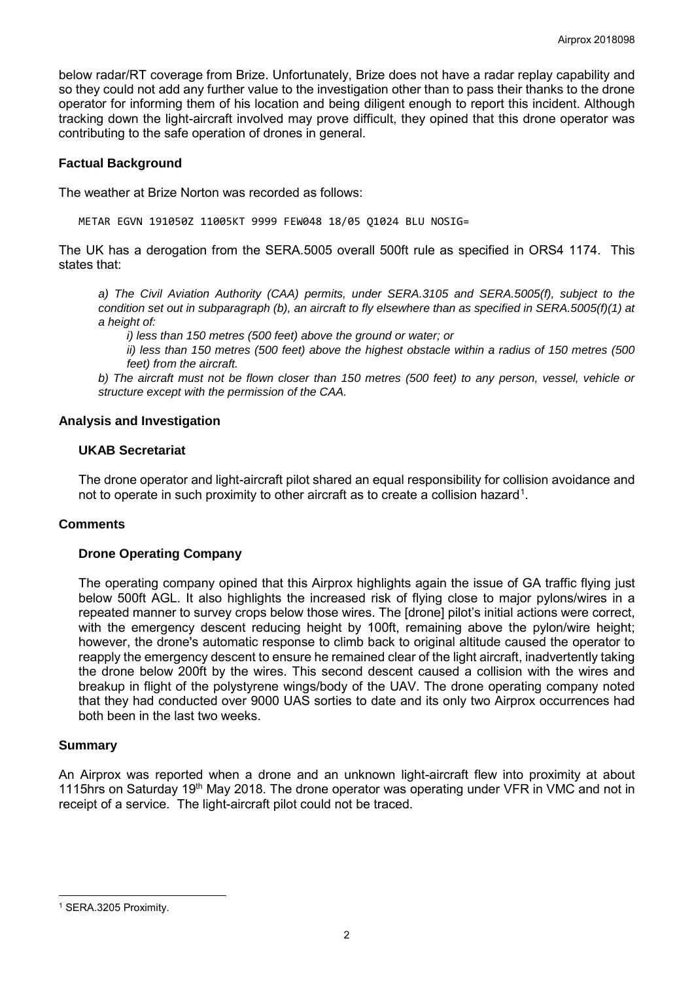below radar/RT coverage from Brize. Unfortunately, Brize does not have a radar replay capability and so they could not add any further value to the investigation other than to pass their thanks to the drone operator for informing them of his location and being diligent enough to report this incident. Although tracking down the light-aircraft involved may prove difficult, they opined that this drone operator was contributing to the safe operation of drones in general.

### **Factual Background**

The weather at Brize Norton was recorded as follows:

METAR EGVN 191050Z 11005KT 9999 FEW048 18/05 Q1024 BLU NOSIG=

The UK has a derogation from the SERA.5005 overall 500ft rule as specified in ORS4 1174. This states that:

*a) The Civil Aviation Authority (CAA) permits, under SERA.3105 and SERA.5005(f), subject to the condition set out in subparagraph (b), an aircraft to fly elsewhere than as specified in SERA.5005(f)(1) at a height of:*

*i) less than 150 metres (500 feet) above the ground or water; or*

*ii) less than 150 metres (500 feet) above the highest obstacle within a radius of 150 metres (500 feet) from the aircraft.*

*b) The aircraft must not be flown closer than 150 metres (500 feet) to any person, vessel, vehicle or structure except with the permission of the CAA.*

#### **Analysis and Investigation**

### **UKAB Secretariat**

The drone operator and light-aircraft pilot shared an equal responsibility for collision avoidance and not to operate in such proximity to other aircraft as to create a collision hazard<sup>[1](#page-1-0)</sup>.

# **Comments**

### **Drone Operating Company**

The operating company opined that this Airprox highlights again the issue of GA traffic flying just below 500ft AGL. It also highlights the increased risk of flying close to major pylons/wires in a repeated manner to survey crops below those wires. The [drone] pilot's initial actions were correct, with the emergency descent reducing height by 100ft, remaining above the pylon/wire height; however, the drone's automatic response to climb back to original altitude caused the operator to reapply the emergency descent to ensure he remained clear of the light aircraft, inadvertently taking the drone below 200ft by the wires. This second descent caused a collision with the wires and breakup in flight of the polystyrene wings/body of the UAV. The drone operating company noted that they had conducted over 9000 UAS sorties to date and its only two Airprox occurrences had both been in the last two weeks.

# **Summary**

An Airprox was reported when a drone and an unknown light-aircraft flew into proximity at about 1115hrs on Saturday 19<sup>th</sup> May 2018. The drone operator was operating under VFR in VMC and not in receipt of a service. The light-aircraft pilot could not be traced.

 $\overline{\phantom{a}}$ 

<span id="page-1-0"></span><sup>1</sup> SERA.3205 Proximity.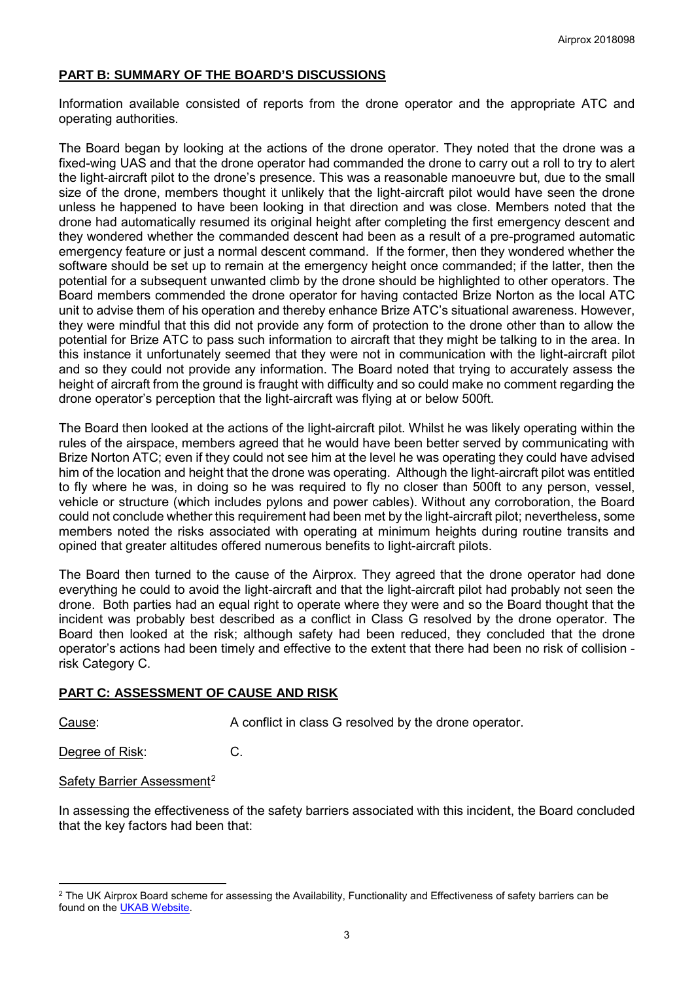# **PART B: SUMMARY OF THE BOARD'S DISCUSSIONS**

Information available consisted of reports from the drone operator and the appropriate ATC and operating authorities.

The Board began by looking at the actions of the drone operator. They noted that the drone was a fixed-wing UAS and that the drone operator had commanded the drone to carry out a roll to try to alert the light-aircraft pilot to the drone's presence. This was a reasonable manoeuvre but, due to the small size of the drone, members thought it unlikely that the light-aircraft pilot would have seen the drone unless he happened to have been looking in that direction and was close. Members noted that the drone had automatically resumed its original height after completing the first emergency descent and they wondered whether the commanded descent had been as a result of a pre-programed automatic emergency feature or just a normal descent command. If the former, then they wondered whether the software should be set up to remain at the emergency height once commanded; if the latter, then the potential for a subsequent unwanted climb by the drone should be highlighted to other operators. The Board members commended the drone operator for having contacted Brize Norton as the local ATC unit to advise them of his operation and thereby enhance Brize ATC's situational awareness. However, they were mindful that this did not provide any form of protection to the drone other than to allow the potential for Brize ATC to pass such information to aircraft that they might be talking to in the area. In this instance it unfortunately seemed that they were not in communication with the light-aircraft pilot and so they could not provide any information. The Board noted that trying to accurately assess the height of aircraft from the ground is fraught with difficulty and so could make no comment regarding the drone operator's perception that the light-aircraft was flying at or below 500ft.

The Board then looked at the actions of the light-aircraft pilot. Whilst he was likely operating within the rules of the airspace, members agreed that he would have been better served by communicating with Brize Norton ATC; even if they could not see him at the level he was operating they could have advised him of the location and height that the drone was operating. Although the light-aircraft pilot was entitled to fly where he was, in doing so he was required to fly no closer than 500ft to any person, vessel, vehicle or structure (which includes pylons and power cables). Without any corroboration, the Board could not conclude whether this requirement had been met by the light-aircraft pilot; nevertheless, some members noted the risks associated with operating at minimum heights during routine transits and opined that greater altitudes offered numerous benefits to light-aircraft pilots.

The Board then turned to the cause of the Airprox. They agreed that the drone operator had done everything he could to avoid the light-aircraft and that the light-aircraft pilot had probably not seen the drone. Both parties had an equal right to operate where they were and so the Board thought that the incident was probably best described as a conflict in Class G resolved by the drone operator. The Board then looked at the risk; although safety had been reduced, they concluded that the drone operator's actions had been timely and effective to the extent that there had been no risk of collision risk Category C.

# **PART C: ASSESSMENT OF CAUSE AND RISK**

l

Cause: A conflict in class G resolved by the drone operator.

Degree of Risk: C.

#### Safety Barrier Assessment<sup>[2](#page-2-0)</sup>

In assessing the effectiveness of the safety barriers associated with this incident, the Board concluded that the key factors had been that:

<span id="page-2-0"></span><sup>&</sup>lt;sup>2</sup> The UK Airprox Board scheme for assessing the Availability, Functionality and Effectiveness of safety barriers can be found on the [UKAB Website.](http://www.airproxboard.org.uk/Learn-more/Airprox-Barrier-Assessment/)